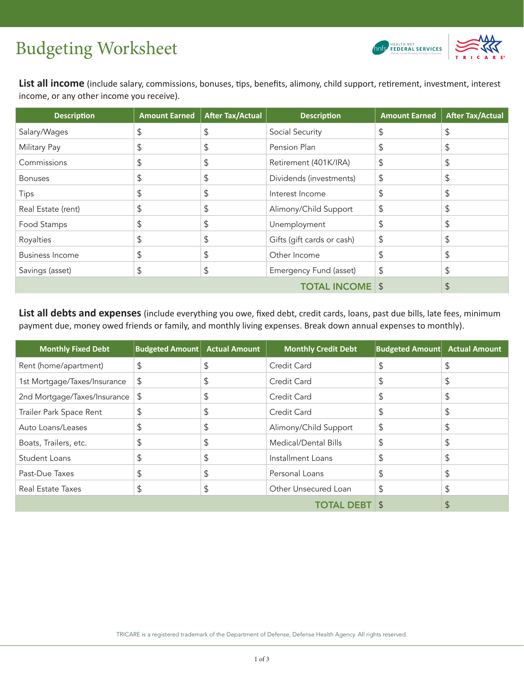## Budgeting Worksheet A Manual Subsidiary of Centenal Services



**List all income** (include salary, commissions, bonuses, tips, benefits, alimony, child support, retirement, investment, interest income, or any other income you receive).

| <b>Description</b>     | <b>Amount Earned</b> | <b>After Tax/Actual</b> | <b>Description</b>         | <b>Amount Earned</b> | <b>After Tax/Actual</b> |
|------------------------|----------------------|-------------------------|----------------------------|----------------------|-------------------------|
| Salary/Wages           | \$                   | \$                      | Social Security            | \$                   | S                       |
| <b>Military Pay</b>    | \$                   | \$                      | Pension Plan               | \$                   | S                       |
| Commissions            | \$                   | \$                      | Retirement (401K/IRA)      | $\mathcal{L}$        | \$                      |
| <b>Bonuses</b>         | \$                   | \$                      | Dividends (investments)    | $\frac{1}{2}$        |                         |
| <b>Tips</b>            | \$                   | \$                      | Interest Income            | \$                   |                         |
| Real Estate (rent)     | \$                   | \$                      | Alimony/Child Support      | $\frac{1}{2}$        | \$                      |
| Food Stamps            | \$                   | \$                      | Unemployment               | \$                   |                         |
| Royalties              | \$                   | \$                      | Gifts (gift cards or cash) | $\mathcal{L}$        |                         |
| <b>Business Income</b> | \$                   | \$                      | Other Income               | \$                   |                         |
| Savings (asset)        | \$                   | \$                      | Emergency Fund (asset)     | \$                   | S                       |
|                        |                      |                         |                            | $\mathcal{L}$        |                         |

**List all debts and expenses** (include everything you owe, fixed debt, credit cards, loans, past due bills, late fees, minimum payment due, money owed friends or family, and monthly living expenses. Break down annual expenses to monthly).

| <b>Monthly Fixed Debt</b>    | <b>Budgeted Amount</b> | <b>Actual Amount</b> | <b>Monthly Credit Debt</b> | <b>Budgeted Amount</b> | <b>Actual Amount</b> |
|------------------------------|------------------------|----------------------|----------------------------|------------------------|----------------------|
| Rent (home/apartment)        | \$                     | \$                   | Credit Card                |                        |                      |
| 1st Mortgage/Taxes/Insurance | \$                     | \$                   | Credit Card                | S                      |                      |
| 2nd Mortgage/Taxes/Insurance | \$                     | \$                   | Credit Card                | \$                     |                      |
| Trailer Park Space Rent      | \$                     | \$                   | Credit Card                | S                      |                      |
| Auto Loans/Leases            | \$                     | \$                   | Alimony/Child Support      | \$                     |                      |
| Boats, Trailers, etc.        | \$                     | \$                   | Medical/Dental Bills       | \$                     |                      |
| Student Loans                | \$                     | \$                   | Installment Loans          | \$                     |                      |
| Past-Due Taxes               | \$                     | \$                   | Personal Loans             | S                      |                      |
| <b>Real Estate Taxes</b>     | \$                     | \$                   | Other Unsecured Loan       | \$                     |                      |
|                              |                        |                      |                            |                        |                      |

TRICARE is a registered trademark of the Department of Defense, Defense Health Agency. All rights reserved.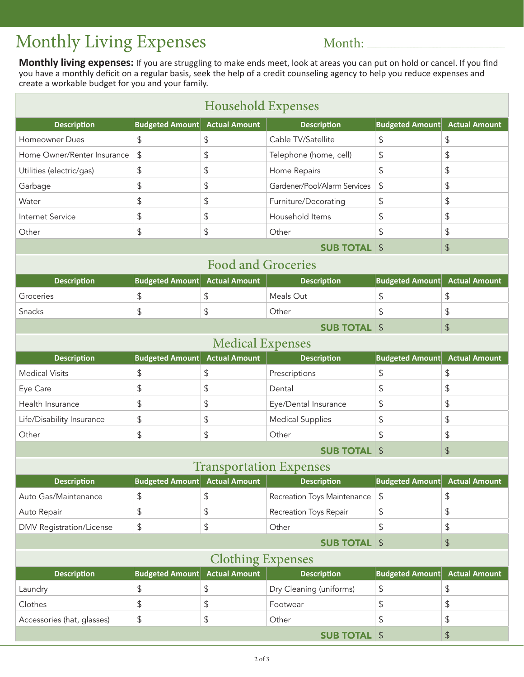## Monthly Living Expenses Month:

**Monthly living expenses:** If you are struggling to make ends meet, look at areas you can put on hold or cancel. If you find you have a monthly deficit on a regular basis, seek the help of a credit counseling agency to help you reduce expenses and create a workable budget for you and your family.

| <b>Household Expenses</b>       |                                      |                           |                              |                           |                      |  |
|---------------------------------|--------------------------------------|---------------------------|------------------------------|---------------------------|----------------------|--|
| <b>Description</b>              | <b>Budgeted Amount</b>               | <b>Actual Amount</b>      | <b>Description</b>           | <b>Budgeted Amount</b>    | <b>Actual Amount</b> |  |
| Homeowner Dues                  | \$                                   | \$                        | Cable TV/Satellite           | \$                        | \$                   |  |
| Home Owner/Renter Insurance     | \$                                   | \$                        | Telephone (home, cell)       | \$                        | \$                   |  |
| Utilities (electric/gas)        | \$                                   | \$                        | Home Repairs                 | \$                        | \$                   |  |
| Garbage                         | \$                                   | \$                        | Gardener/Pool/Alarm Services | \$                        | \$                   |  |
| Water                           | \$                                   | \$                        | Furniture/Decorating         | \$                        | \$                   |  |
| Internet Service                | \$                                   | \$                        | Household Items              | \$                        | \$                   |  |
| Other                           | \$                                   | \$                        | Other                        | \$                        | \$                   |  |
|                                 |                                      |                           | <b>SUB TOTAL \$</b>          |                           | \$                   |  |
|                                 |                                      | <b>Food and Groceries</b> |                              |                           |                      |  |
| <b>Description</b>              | <b>Budgeted Amount Actual Amount</b> |                           | <b>Description</b>           | <b>Budgeted Amount</b>    | <b>Actual Amount</b> |  |
| Groceries                       | \$                                   | \$                        | Meals Out                    | \$                        | \$                   |  |
| Snacks                          | \$                                   | \$                        | Other                        | \$                        | \$                   |  |
|                                 |                                      |                           | <b>SUB TOTAL \$</b>          |                           | $\mathfrak{S}$       |  |
| <b>Medical Expenses</b>         |                                      |                           |                              |                           |                      |  |
| <b>Description</b>              | <b>Budgeted Amount Actual Amount</b> |                           | <b>Description</b>           | <b>Budgeted Amount</b>    | <b>Actual Amount</b> |  |
| <b>Medical Visits</b>           | \$                                   | \$                        | Prescriptions                | \$                        | \$                   |  |
| Eye Care                        | \$                                   | \$                        | Dental                       | \$                        | \$                   |  |
| Health Insurance                | \$                                   | \$                        | Eye/Dental Insurance         | \$                        | \$                   |  |
| Life/Disability Insurance       | \$                                   | \$                        | <b>Medical Supplies</b>      | \$                        | \$                   |  |
| Other                           | \$                                   | \$                        | Other                        | \$                        | \$                   |  |
|                                 |                                      |                           | <b>SUB TOTAL \$</b>          |                           | $\mathfrak{S}$       |  |
| <b>Transportation Expenses</b>  |                                      |                           |                              |                           |                      |  |
| <b>Description</b>              | <b>Budgeted Amount Actual Amount</b> |                           | <b>Description</b>           | <b>Budgeted Amount</b>    | <b>Actual Amount</b> |  |
| Auto Gas/Maintenance            | \$                                   | \$                        | Recreation Toys Maintenance  | $\boldsymbol{\mathsf{S}}$ | \$                   |  |
| Auto Repair                     | \$                                   | \$                        | Recreation Toys Repair       | \$                        | \$                   |  |
| <b>DMV</b> Registration/License | \$                                   | \$                        | Other                        | \$                        | \$                   |  |
|                                 |                                      |                           | <b>SUB TOTAL \$</b>          |                           | $\frac{1}{2}$        |  |
| <b>Clothing Expenses</b>        |                                      |                           |                              |                           |                      |  |
| <b>Description</b>              | <b>Budgeted Amount</b>               | <b>Actual Amount</b>      | <b>Description</b>           | <b>Budgeted Amount</b>    | <b>Actual Amount</b> |  |
| Laundry                         | \$                                   | \$                        | Dry Cleaning (uniforms)      | \$                        | \$                   |  |
| Clothes                         | \$                                   | \$                        | Footwear                     | \$                        | \$                   |  |
| Accessories (hat, glasses)      | \$                                   | \$                        | Other                        | \$                        | \$                   |  |
|                                 |                                      |                           | <b>SUB TOTAL \$</b>          |                           | $\frac{1}{2}$        |  |